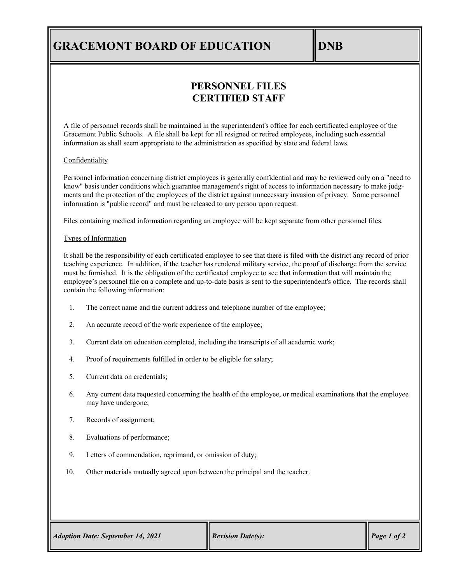## **GRACEMONT BOARD OF EDUCATION DNB**

## **PERSONNEL FILES CERTIFIED STAFF**

A file of personnel records shall be maintained in the superintendent's office for each certificated employee of the Gracemont Public Schools. A file shall be kept for all resigned or retired employees, including such essential information as shall seem appropriate to the administration as specified by state and federal laws.

### **Confidentiality**

Personnel information concerning district employees is generally confidential and may be reviewed only on a "need to know" basis under conditions which guarantee management's right of access to information necessary to make judgments and the protection of the employees of the district against unnecessary invasion of privacy. Some personnel information is "public record" and must be released to any person upon request.

Files containing medical information regarding an employee will be kept separate from other personnel files.

### Types of Information

It shall be the responsibility of each certificated employee to see that there is filed with the district any record of prior teaching experience. In addition, if the teacher has rendered military service, the proof of discharge from the service must be furnished. It is the obligation of the certificated employee to see that information that will maintain the employee's personnel file on a complete and up-to-date basis is sent to the superintendent's office. The records shall contain the following information:

- 1. The correct name and the current address and telephone number of the employee;
- 2. An accurate record of the work experience of the employee;
- 3. Current data on education completed, including the transcripts of all academic work;
- 4. Proof of requirements fulfilled in order to be eligible for salary;
- 5. Current data on credentials;
- 6. Any current data requested concerning the health of the employee, or medical examinations that the employee may have undergone;
- 7. Records of assignment;
- 8. Evaluations of performance;
- 9. Letters of commendation, reprimand, or omission of duty;
- 10. Other materials mutually agreed upon between the principal and the teacher.